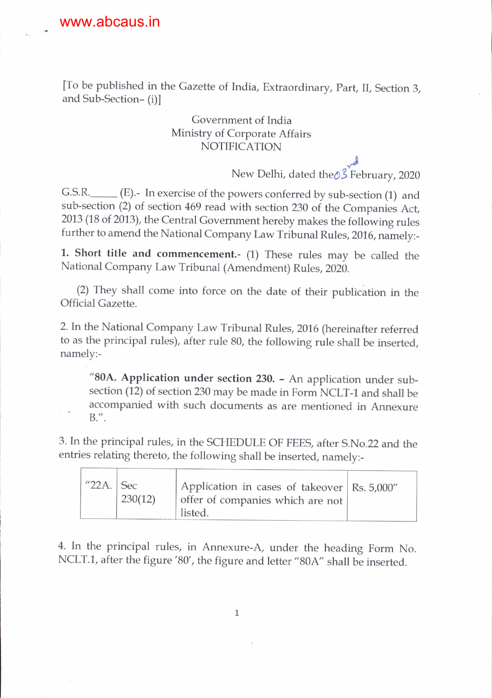-

[To be published in the Gazette of India, Extraordinary, Part, II, Section 3, and Sub-Section- (i)l

## Government of India Ministrv of Corporate Affairs NOTIFICATION

 $\frac{d}{d}$ New Delhi, dated the∂3 February, 2020

G.S.R. \_\_\_\_\_ (E).- In exercise of the powers conferred by sub-section (1) and sub-section (2) of section 469 read with section 230 of the Companies Act, 2013 (18 of 2013), the Central Government hereby makes the following rules further to amend the National Company Law Tribunal Rules, 2016, namely:-

1. Short title and commencement.- (1) These rules may be called the National Company Law Tribunal (Amendment) Rules,2020.

(2) They shall come into force on the date of their publication in the Official Gazette.

2. In the National Company Law Tribunal Rules, 2016 (hereinafter referred to as the principal rules), after rule 80, the following rule shall be inserted, namely:-

"80A. Application under section 230. - An application under subsection (12) of section 230 may be made in Form NCLT-1 and shall be accompanied with such documents as are mentioned in Annexure 8.".

3. In the principal rules, in the SCHEDULE OF FEES, after S.No.22 and the entries relating thereto, the foliowing shall be inserted, namely:-

| " $22A.$ Sec | 230(12) | Application in cases of takeover   Rs. 5,000"<br>offer of companies which are not<br>listed. |  |
|--------------|---------|----------------------------------------------------------------------------------------------|--|
|--------------|---------|----------------------------------------------------------------------------------------------|--|

4. In the principal rules, in Annexure-A, under the heading Form No. NCLT.1, after the figure '80', the figure and letter "80A" shall be inserted.